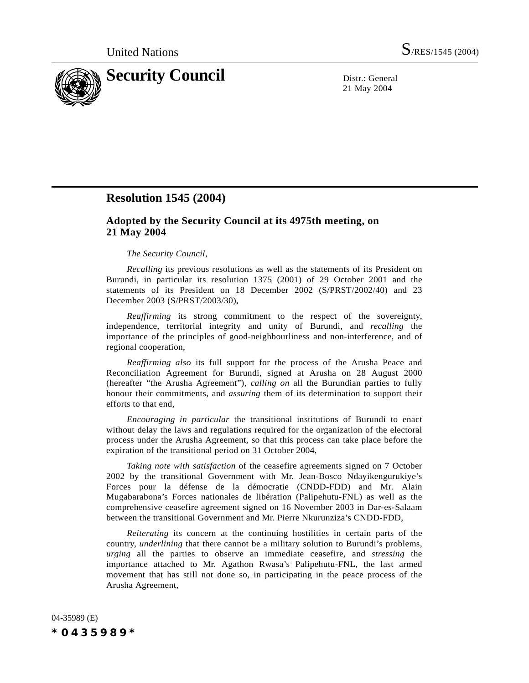

21 May 2004

## **Resolution 1545 (2004)**

## **Adopted by the Security Council at its 4975th meeting, on 21 May 2004**

## *The Security Council*,

*Recalling* its previous resolutions as well as the statements of its President on Burundi, in particular its resolution 1375 (2001) of 29 October 2001 and the statements of its President on 18 December 2002 (S/PRST/2002/40) and 23 December 2003 (S/PRST/2003/30),

*Reaffirming* its strong commitment to the respect of the sovereignty, independence, territorial integrity and unity of Burundi, and *recalling* the importance of the principles of good-neighbourliness and non-interference, and of regional cooperation,

*Reaffirming also* its full support for the process of the Arusha Peace and Reconciliation Agreement for Burundi, signed at Arusha on 28 August 2000 (hereafter "the Arusha Agreement"), *calling on* all the Burundian parties to fully honour their commitments, and *assuring* them of its determination to support their efforts to that end,

*Encouraging in particular* the transitional institutions of Burundi to enact without delay the laws and regulations required for the organization of the electoral process under the Arusha Agreement, so that this process can take place before the expiration of the transitional period on 31 October 2004,

*Taking note with satisfaction* of the ceasefire agreements signed on 7 October 2002 by the transitional Government with Mr. Jean-Bosco Ndayikengurukiye's Forces pour la défense de la démocratie (CNDD-FDD) and Mr. Alain Mugabarabona's Forces nationales de libération (Palipehutu-FNL) as well as the comprehensive ceasefire agreement signed on 16 November 2003 in Dar-es-Salaam between the transitional Government and Mr. Pierre Nkurunziza's CNDD-FDD,

*Reiterating* its concern at the continuing hostilities in certain parts of the country, *underlining* that there cannot be a military solution to Burundi's problems, *urging* all the parties to observe an immediate ceasefire, and *stressing* the importance attached to Mr. Agathon Rwasa's Palipehutu-FNL, the last armed movement that has still not done so, in participating in the peace process of the Arusha Agreement,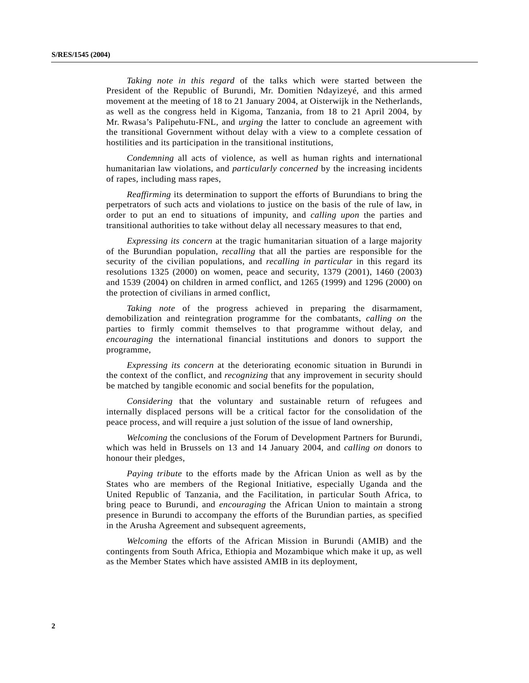*Taking note in this regard* of the talks which were started between the President of the Republic of Burundi, Mr. Domitien Ndayizeyé, and this armed movement at the meeting of 18 to 21 January 2004, at Oisterwijk in the Netherlands, as well as the congress held in Kigoma, Tanzania, from 18 to 21 April 2004, by Mr. Rwasa's Palipehutu-FNL, and *urging* the latter to conclude an agreement with the transitional Government without delay with a view to a complete cessation of hostilities and its participation in the transitional institutions,

*Condemning* all acts of violence, as well as human rights and international humanitarian law violations, and *particularly concerned* by the increasing incidents of rapes, including mass rapes,

*Reaffirming* its determination to support the efforts of Burundians to bring the perpetrators of such acts and violations to justice on the basis of the rule of law, in order to put an end to situations of impunity, and *calling upon* the parties and transitional authorities to take without delay all necessary measures to that end,

*Expressing its concern* at the tragic humanitarian situation of a large majority of the Burundian population, *recalling* that all the parties are responsible for the security of the civilian populations, and *recalling in particular* in this regard its resolutions 1325 (2000) on women, peace and security, 1379 (2001), 1460 (2003) and 1539 (2004) on children in armed conflict, and 1265 (1999) and 1296 (2000) on the protection of civilians in armed conflict,

*Taking note* of the progress achieved in preparing the disarmament, demobilization and reintegration programme for the combatants, *calling on* the parties to firmly commit themselves to that programme without delay, and *encouraging* the international financial institutions and donors to support the programme,

*Expressing its concern* at the deteriorating economic situation in Burundi in the context of the conflict, and *recognizing* that any improvement in security should be matched by tangible economic and social benefits for the population,

*Considering* that the voluntary and sustainable return of refugees and internally displaced persons will be a critical factor for the consolidation of the peace process, and will require a just solution of the issue of land ownership,

*Welcoming* the conclusions of the Forum of Development Partners for Burundi, which was held in Brussels on 13 and 14 January 2004, and *calling on* donors to honour their pledges,

*Paying tribute* to the efforts made by the African Union as well as by the States who are members of the Regional Initiative, especially Uganda and the United Republic of Tanzania, and the Facilitation, in particular South Africa, to bring peace to Burundi, and *encouraging* the African Union to maintain a strong presence in Burundi to accompany the efforts of the Burundian parties, as specified in the Arusha Agreement and subsequent agreements,

*Welcoming* the efforts of the African Mission in Burundi (AMIB) and the contingents from South Africa, Ethiopia and Mozambique which make it up, as well as the Member States which have assisted AMIB in its deployment,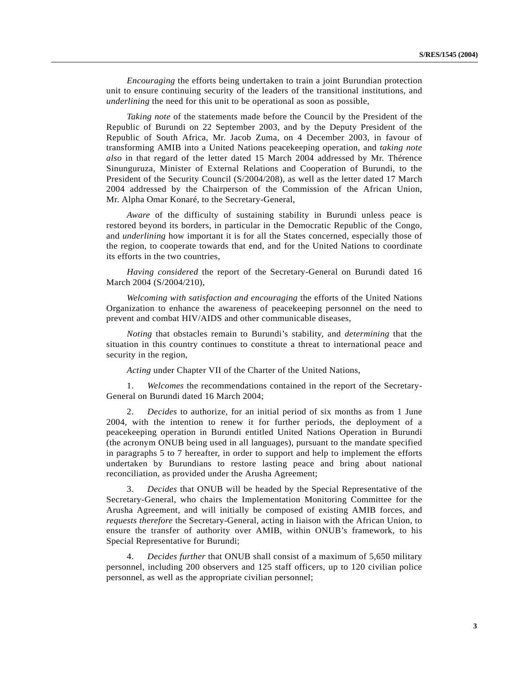*Encouraging* the efforts being undertaken to train a joint Burundian protection unit to ensure continuing security of the leaders of the transitional institutions, and *underlining* the need for this unit to be operational as soon as possible,

*Taking note* of the statements made before the Council by the President of the Republic of Burundi on 22 September 2003, and by the Deputy President of the Republic of South Africa, Mr. Jacob Zuma, on 4 December 2003, in favour of transforming AMIB into a United Nations peacekeeping operation, and *taking note also* in that regard of the letter dated 15 March 2004 addressed by Mr. Thérence Sinunguruza, Minister of External Relations and Cooperation of Burundi, to the President of the Security Council (S/2004/208), as well as the letter dated 17 March 2004 addressed by the Chairperson of the Commission of the African Union, Mr. Alpha Omar Konaré, to the Secretary-General,

*Aware* of the difficulty of sustaining stability in Burundi unless peace is restored beyond its borders, in particular in the Democratic Republic of the Congo, and *underlining* how important it is for all the States concerned, especially those of the region, to cooperate towards that end, and for the United Nations to coordinate its efforts in the two countries,

*Having considered* the report of the Secretary-General on Burundi dated 16 March 2004 (S/2004/210),

*Welcoming with satisfaction and encouraging* the efforts of the United Nations Organization to enhance the awareness of peacekeeping personnel on the need to prevent and combat HIV/AIDS and other communicable diseases,

*Noting* that obstacles remain to Burundi's stability, and *determining* that the situation in this country continues to constitute a threat to international peace and security in the region,

*Acting* under Chapter VII of the Charter of the United Nations,

1. *Welcomes* the recommendations contained in the report of the Secretary-General on Burundi dated 16 March 2004;

2. *Decides* to authorize, for an initial period of six months as from 1 June 2004, with the intention to renew it for further periods, the deployment of a peacekeeping operation in Burundi entitled United Nations Operation in Burundi (the acronym ONUB being used in all languages), pursuant to the mandate specified in paragraphs 5 to 7 hereafter, in order to support and help to implement the efforts undertaken by Burundians to restore lasting peace and bring about national reconciliation, as provided under the Arusha Agreement;

3. *Decides* that ONUB will be headed by the Special Representative of the Secretary-General, who chairs the Implementation Monitoring Committee for the Arusha Agreement, and will initially be composed of existing AMIB forces, and *requests therefore* the Secretary-General, acting in liaison with the African Union, to ensure the transfer of authority over AMIB, within ONUB's framework, to his Special Representative for Burundi;

4. *Decides further* that ONUB shall consist of a maximum of 5,650 military personnel, including 200 observers and 125 staff officers, up to 120 civilian police personnel, as well as the appropriate civilian personnel;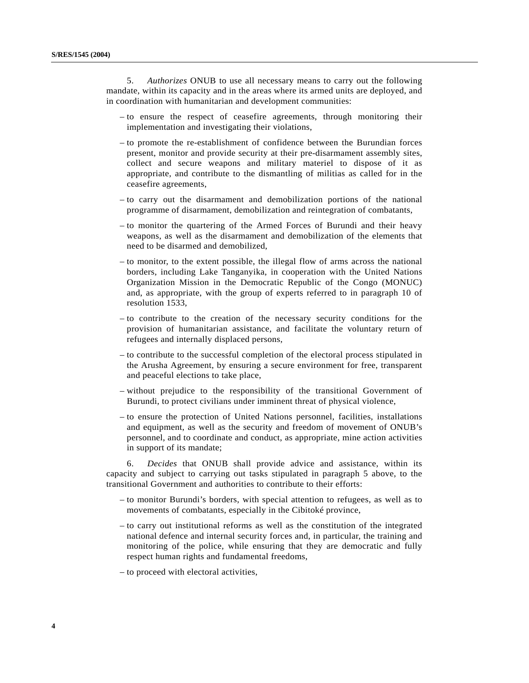5. *Authorizes* ONUB to use all necessary means to carry out the following mandate, within its capacity and in the areas where its armed units are deployed, and in coordination with humanitarian and development communities:

- to ensure the respect of ceasefire agreements, through monitoring their implementation and investigating their violations,
- to promote the re-establishment of confidence between the Burundian forces present, monitor and provide security at their pre-disarmament assembly sites, collect and secure weapons and military materiel to dispose of it as appropriate, and contribute to the dismantling of militias as called for in the ceasefire agreements,
- to carry out the disarmament and demobilization portions of the national programme of disarmament, demobilization and reintegration of combatants,
- to monitor the quartering of the Armed Forces of Burundi and their heavy weapons, as well as the disarmament and demobilization of the elements that need to be disarmed and demobilized,
- to monitor, to the extent possible, the illegal flow of arms across the national borders, including Lake Tanganyika, in cooperation with the United Nations Organization Mission in the Democratic Republic of the Congo (MONUC) and, as appropriate, with the group of experts referred to in paragraph 10 of resolution 1533,
- to contribute to the creation of the necessary security conditions for the provision of humanitarian assistance, and facilitate the voluntary return of refugees and internally displaced persons,
- to contribute to the successful completion of the electoral process stipulated in the Arusha Agreement, by ensuring a secure environment for free, transparent and peaceful elections to take place,
- without prejudice to the responsibility of the transitional Government of Burundi, to protect civilians under imminent threat of physical violence,
- to ensure the protection of United Nations personnel, facilities, installations and equipment, as well as the security and freedom of movement of ONUB's personnel, and to coordinate and conduct, as appropriate, mine action activities in support of its mandate;

6. *Decides* that ONUB shall provide advice and assistance, within its capacity and subject to carrying out tasks stipulated in paragraph 5 above, to the transitional Government and authorities to contribute to their efforts:

- to monitor Burundi's borders, with special attention to refugees, as well as to movements of combatants, especially in the Cibitoké province,
- to carry out institutional reforms as well as the constitution of the integrated national defence and internal security forces and, in particular, the training and monitoring of the police, while ensuring that they are democratic and fully respect human rights and fundamental freedoms,
- to proceed with electoral activities,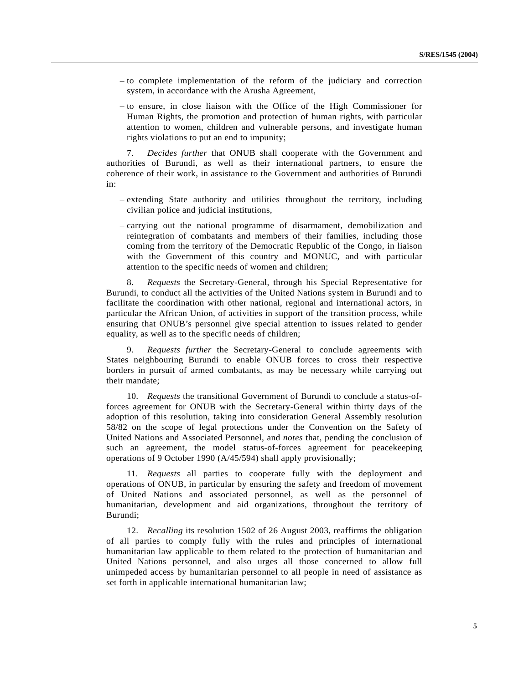- to complete implementation of the reform of the judiciary and correction system, in accordance with the Arusha Agreement,
- to ensure, in close liaison with the Office of the High Commissioner for Human Rights, the promotion and protection of human rights, with particular attention to women, children and vulnerable persons, and investigate human rights violations to put an end to impunity;

7. *Decides further* that ONUB shall cooperate with the Government and authorities of Burundi, as well as their international partners, to ensure the coherence of their work, in assistance to the Government and authorities of Burundi in:

- extending State authority and utilities throughout the territory, including civilian police and judicial institutions,
- carrying out the national programme of disarmament, demobilization and reintegration of combatants and members of their families, including those coming from the territory of the Democratic Republic of the Congo, in liaison with the Government of this country and MONUC, and with particular attention to the specific needs of women and children;

8. *Requests* the Secretary-General, through his Special Representative for Burundi, to conduct all the activities of the United Nations system in Burundi and to facilitate the coordination with other national, regional and international actors, in particular the African Union, of activities in support of the transition process, while ensuring that ONUB's personnel give special attention to issues related to gender equality, as well as to the specific needs of children;

9. *Requests further* the Secretary-General to conclude agreements with States neighbouring Burundi to enable ONUB forces to cross their respective borders in pursuit of armed combatants, as may be necessary while carrying out their mandate;

10. *Requests* the transitional Government of Burundi to conclude a status-offorces agreement for ONUB with the Secretary-General within thirty days of the adoption of this resolution, taking into consideration General Assembly resolution 58/82 on the scope of legal protections under the Convention on the Safety of United Nations and Associated Personnel, and *notes* that, pending the conclusion of such an agreement, the model status-of-forces agreement for peacekeeping operations of 9 October 1990 (A/45/594) shall apply provisionally;

11. *Requests* all parties to cooperate fully with the deployment and operations of ONUB, in particular by ensuring the safety and freedom of movement of United Nations and associated personnel, as well as the personnel of humanitarian, development and aid organizations, throughout the territory of Burundi;

12. *Recalling* its resolution 1502 of 26 August 2003, reaffirms the obligation of all parties to comply fully with the rules and principles of international humanitarian law applicable to them related to the protection of humanitarian and United Nations personnel, and also urges all those concerned to allow full unimpeded access by humanitarian personnel to all people in need of assistance as set forth in applicable international humanitarian law;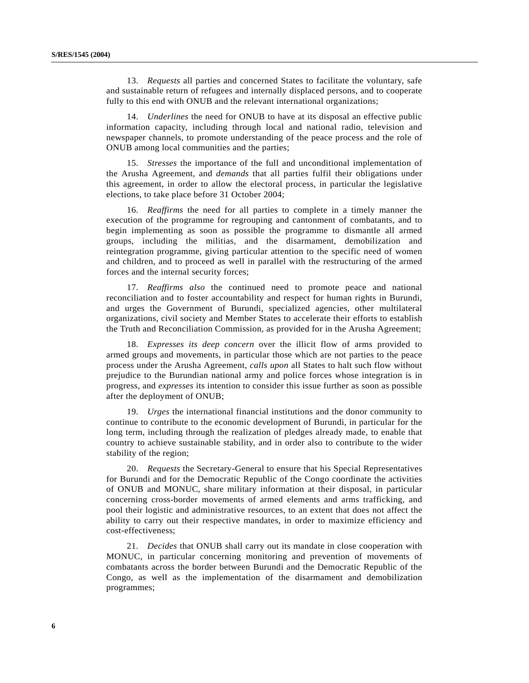13. *Requests* all parties and concerned States to facilitate the voluntary, safe and sustainable return of refugees and internally displaced persons, and to cooperate fully to this end with ONUB and the relevant international organizations;

14. *Underlines* the need for ONUB to have at its disposal an effective public information capacity, including through local and national radio, television and newspaper channels, to promote understanding of the peace process and the role of ONUB among local communities and the parties;

15. *Stresses* the importance of the full and unconditional implementation of the Arusha Agreement, and *demands* that all parties fulfil their obligations under this agreement, in order to allow the electoral process, in particular the legislative elections, to take place before 31 October 2004;

16. *Reaffirms* the need for all parties to complete in a timely manner the execution of the programme for regrouping and cantonment of combatants, and to begin implementing as soon as possible the programme to dismantle all armed groups, including the militias, and the disarmament, demobilization and reintegration programme, giving particular attention to the specific need of women and children, and to proceed as well in parallel with the restructuring of the armed forces and the internal security forces;

17. *Reaffirms also* the continued need to promote peace and national reconciliation and to foster accountability and respect for human rights in Burundi, and urges the Government of Burundi, specialized agencies, other multilateral organizations, civil society and Member States to accelerate their efforts to establish the Truth and Reconciliation Commission, as provided for in the Arusha Agreement;

18. *Expresses its deep concern* over the illicit flow of arms provided to armed groups and movements, in particular those which are not parties to the peace process under the Arusha Agreement, *calls upon* all States to halt such flow without prejudice to the Burundian national army and police forces whose integration is in progress, and *expresses* its intention to consider this issue further as soon as possible after the deployment of ONUB;

19. *Urges* the international financial institutions and the donor community to continue to contribute to the economic development of Burundi, in particular for the long term, including through the realization of pledges already made, to enable that country to achieve sustainable stability, and in order also to contribute to the wider stability of the region;

20. *Requests* the Secretary-General to ensure that his Special Representatives for Burundi and for the Democratic Republic of the Congo coordinate the activities of ONUB and MONUC, share military information at their disposal, in particular concerning cross-border movements of armed elements and arms trafficking, and pool their logistic and administrative resources, to an extent that does not affect the ability to carry out their respective mandates, in order to maximize efficiency and cost-effectiveness;

21. *Decides* that ONUB shall carry out its mandate in close cooperation with MONUC, in particular concerning monitoring and prevention of movements of combatants across the border between Burundi and the Democratic Republic of the Congo, as well as the implementation of the disarmament and demobilization programmes;